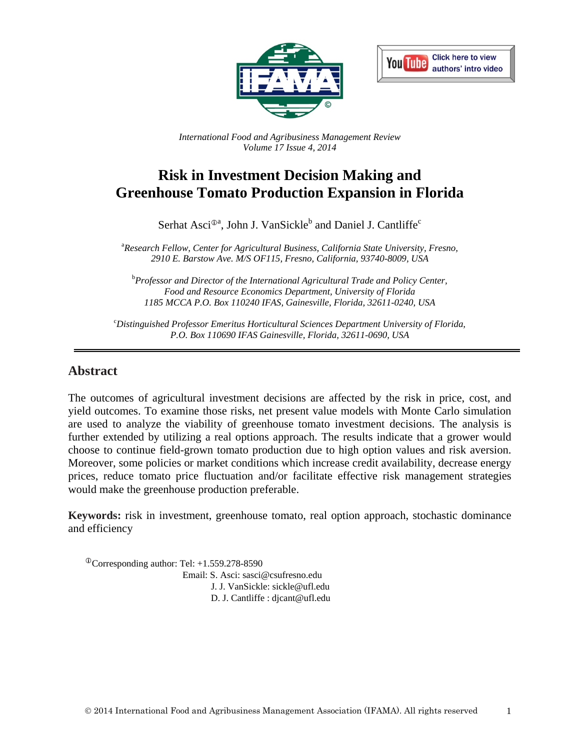



*International Food and Agribusiness Management Review Volume 17 Issue 4, 2014*

# **Risk in Investment Decision Making and Greenhouse Tomato Production Expansion in Florida**

Serhat Asci<sup>®a</sup>, John J. VanSickle<sup>b</sup> and Daniel J. Cantliffe<sup>c</sup>

a *Research Fellow, Center for Agricultural Business, California State University, Fresno, 2910 E. Barstow Ave. M/S OF115, Fresno, California, 93740-8009, USA*

b *Professor and Director of the International Agricultural Trade and Policy Center, Food and Resource Economics Department, University of Florida 1185 MCCA P.O. Box 110240 IFAS, Gainesville, Florida, 32611-0240, USA*

c *Distinguished Professor Emeritus Horticultural Sciences Department University of Florida, P.O. Box 110690 IFAS Gainesville, Florida, 32611-0690, USA*

#### **Abstract**

The outcomes of agricultural investment decisions are affected by the risk in price, cost, and yield outcomes. To examine those risks, net present value models with Monte Carlo simulation are used to analyze the viability of greenhouse tomato investment decisions. The analysis is further extended by utilizing a real options approach. The results indicate that a grower would choose to continue field-grown tomato production due to high option values and risk aversion. Moreover, some policies or market conditions which increase credit availability, decrease energy prices, reduce tomato price fluctuation and/or facilitate effective risk management strategies would make the greenhouse production preferable.

**Keywords:** risk in investment, greenhouse tomato, real option approach, stochastic dominance and efficiency

 $^{\circ}$ Corresponding author: Tel: +1.559.278-8590 Email: S. Asci: sasci@csufresno.edu J. J. VanSickle: sickle@ufl.edu D. J. Cantliffe : djcant@ufl.edu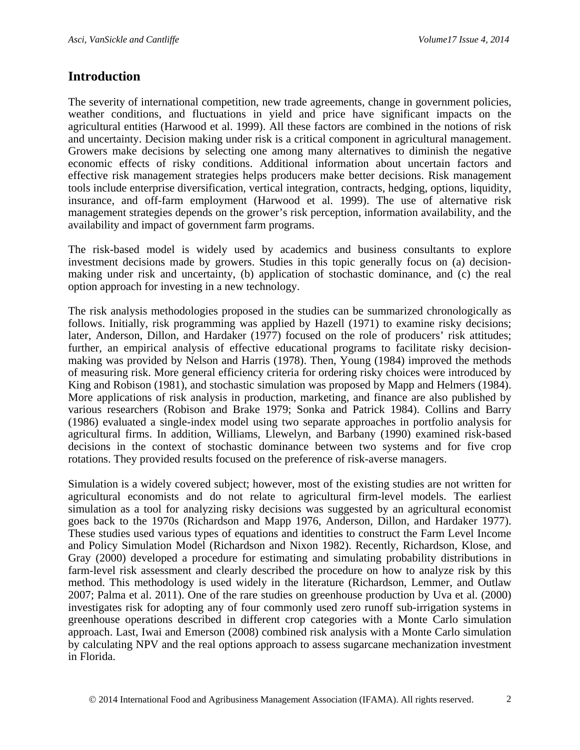## **Introduction**

The severity of international competition, new trade agreements, change in government policies, weather conditions, and fluctuations in yield and price have significant impacts on the agricultural entities (Harwood et al. 1999). All these factors are combined in the notions of risk and uncertainty. Decision making under risk is a critical component in agricultural management. Growers make decisions by selecting one among many alternatives to diminish the negative economic effects of risky conditions. Additional information about uncertain factors and effective risk management strategies helps producers make better decisions. Risk management tools include enterprise diversification, vertical integration, contracts, hedging, options, liquidity, insurance, and off-farm employment (Harwood et al. 1999). The use of alternative risk management strategies depends on the grower's risk perception, information availability, and the availability and impact of government farm programs.

The risk-based model is widely used by academics and business consultants to explore investment decisions made by growers. Studies in this topic generally focus on (a) decisionmaking under risk and uncertainty, (b) application of stochastic dominance, and (c) the real option approach for investing in a new technology.

The risk analysis methodologies proposed in the studies can be summarized chronologically as follows. Initially, risk programming was applied by Hazell (1971) to examine risky decisions; later, Anderson, Dillon, and Hardaker (1977) focused on the role of producers' risk attitudes; further, an empirical analysis of effective educational programs to facilitate risky decisionmaking was provided by Nelson and Harris (1978). Then, Young (1984) improved the methods of measuring risk. More general efficiency criteria for ordering risky choices were introduced by King and Robison (1981), and stochastic simulation was proposed by Mapp and Helmers (1984). More applications of risk analysis in production, marketing, and finance are also published by various researchers (Robison and Brake 1979; Sonka and Patrick 1984). Collins and Barry (1986) evaluated a single-index model using two separate approaches in portfolio analysis for agricultural firms. In addition, Williams, Llewelyn, and Barbany (1990) examined risk-based decisions in the context of stochastic dominance between two systems and for five crop rotations. They provided results focused on the preference of risk-averse managers.

Simulation is a widely covered subject; however, most of the existing studies are not written for agricultural economists and do not relate to agricultural firm-level models. The earliest simulation as a tool for analyzing risky decisions was suggested by an agricultural economist goes back to the 1970s (Richardson and Mapp 1976, Anderson, Dillon, and Hardaker 1977). These studies used various types of equations and identities to construct the Farm Level Income and Policy Simulation Model (Richardson and Nixon 1982). Recently, Richardson, Klose, and Gray (2000) developed a procedure for estimating and simulating probability distributions in farm-level risk assessment and clearly described the procedure on how to analyze risk by this method. This methodology is used widely in the literature (Richardson, Lemmer, and Outlaw 2007; Palma et al. 2011). One of the rare studies on greenhouse production by Uva et al. (2000) investigates risk for adopting any of four commonly used zero runoff sub-irrigation systems in greenhouse operations described in different crop categories with a Monte Carlo simulation approach. Last, Iwai and Emerson (2008) combined risk analysis with a Monte Carlo simulation by calculating NPV and the real options approach to assess sugarcane mechanization investment in Florida.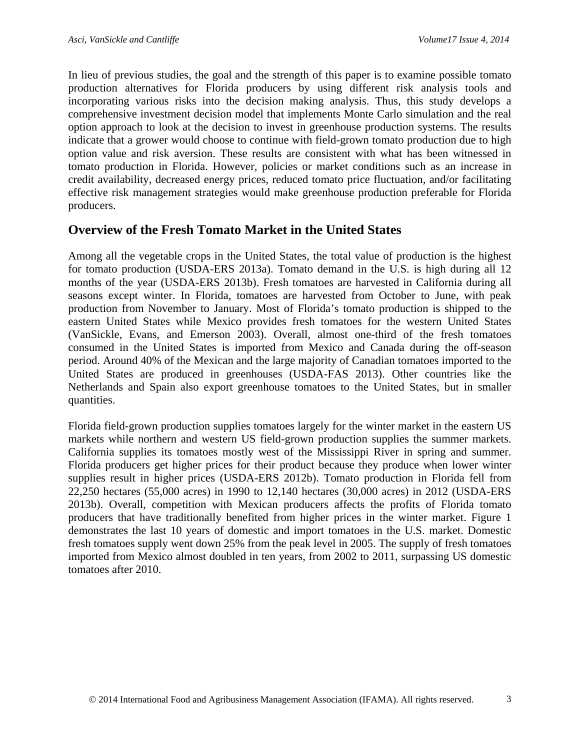In lieu of previous studies, the goal and the strength of this paper is to examine possible tomato production alternatives for Florida producers by using different risk analysis tools and incorporating various risks into the decision making analysis. Thus, this study develops a comprehensive investment decision model that implements Monte Carlo simulation and the real option approach to look at the decision to invest in greenhouse production systems. The results indicate that a grower would choose to continue with field-grown tomato production due to high option value and risk aversion. These results are consistent with what has been witnessed in tomato production in Florida. However, policies or market conditions such as an increase in credit availability, decreased energy prices, reduced tomato price fluctuation, and/or facilitating effective risk management strategies would make greenhouse production preferable for Florida producers.

### **Overview of the Fresh Tomato Market in the United States**

Among all the vegetable crops in the United States, the total value of production is the highest for tomato production (USDA-ERS 2013a). Tomato demand in the U.S. is high during all 12 months of the year (USDA-ERS 2013b). Fresh tomatoes are harvested in California during all seasons except winter. In Florida, tomatoes are harvested from October to June, with peak production from November to January. Most of Florida's tomato production is shipped to the eastern United States while Mexico provides fresh tomatoes for the western United States (VanSickle, Evans, and Emerson 2003). Overall, almost one-third of the fresh tomatoes consumed in the United States is imported from Mexico and Canada during the off-season period. Around 40% of the Mexican and the large majority of Canadian tomatoes imported to the United States are produced in greenhouses (USDA-FAS 2013). Other countries like the Netherlands and Spain also export greenhouse tomatoes to the United States, but in smaller quantities.

Florida field-grown production supplies tomatoes largely for the winter market in the eastern US markets while northern and western US field-grown production supplies the summer markets. California supplies its tomatoes mostly west of the Mississippi River in spring and summer. Florida producers get higher prices for their product because they produce when lower winter supplies result in higher prices (USDA-ERS 2012b). Tomato production in Florida fell from 22,250 hectares (55,000 acres) in 1990 to 12,140 hectares (30,000 acres) in 2012 (USDA-ERS 2013b). Overall, competition with Mexican producers affects the profits of Florida tomato producers that have traditionally benefited from higher prices in the winter market. Figure 1 demonstrates the last 10 years of domestic and import tomatoes in the U.S. market. Domestic fresh tomatoes supply went down 25% from the peak level in 2005. The supply of fresh tomatoes imported from Mexico almost doubled in ten years, from 2002 to 2011, surpassing US domestic tomatoes after 2010.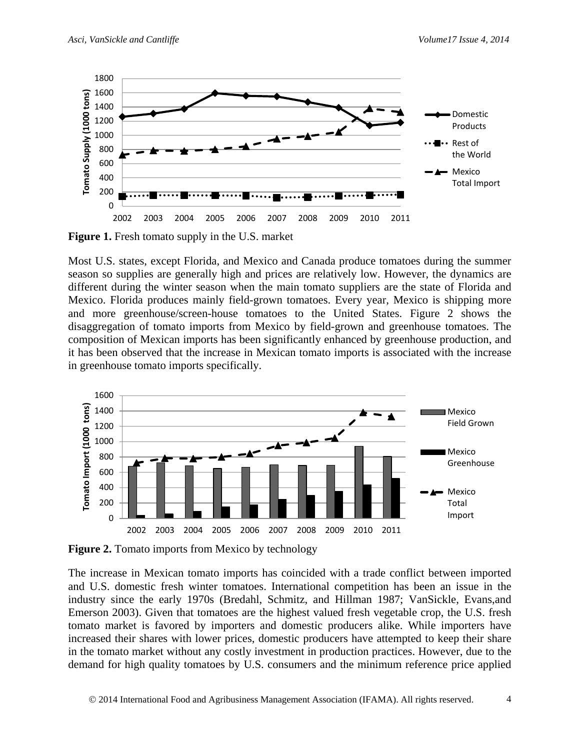

**Figure 1.** Fresh tomato supply in the U.S. market

Most U.S. states, except Florida, and Mexico and Canada produce tomatoes during the summer season so supplies are generally high and prices are relatively low. However, the dynamics are different during the winter season when the main tomato suppliers are the state of Florida and Mexico. Florida produces mainly field-grown tomatoes. Every year, Mexico is shipping more and more greenhouse/screen-house tomatoes to the United States. Figure 2 shows the disaggregation of tomato imports from Mexico by field-grown and greenhouse tomatoes. The composition of Mexican imports has been significantly enhanced by greenhouse production, and it has been observed that the increase in Mexican tomato imports is associated with the increase in greenhouse tomato imports specifically.



**Figure 2.** Tomato imports from Mexico by technology

The increase in Mexican tomato imports has coincided with a trade conflict between imported and U.S. domestic fresh winter tomatoes. International competition has been an issue in the industry since the early 1970s (Bredahl, Schmitz, and Hillman 1987; VanSickle, Evans,and Emerson 2003). Given that tomatoes are the highest valued fresh vegetable crop, the U.S. fresh tomato market is favored by importers and domestic producers alike. While importers have increased their shares with lower prices, domestic producers have attempted to keep their share in the tomato market without any costly investment in production practices. However, due to the demand for high quality tomatoes by U.S. consumers and the minimum reference price applied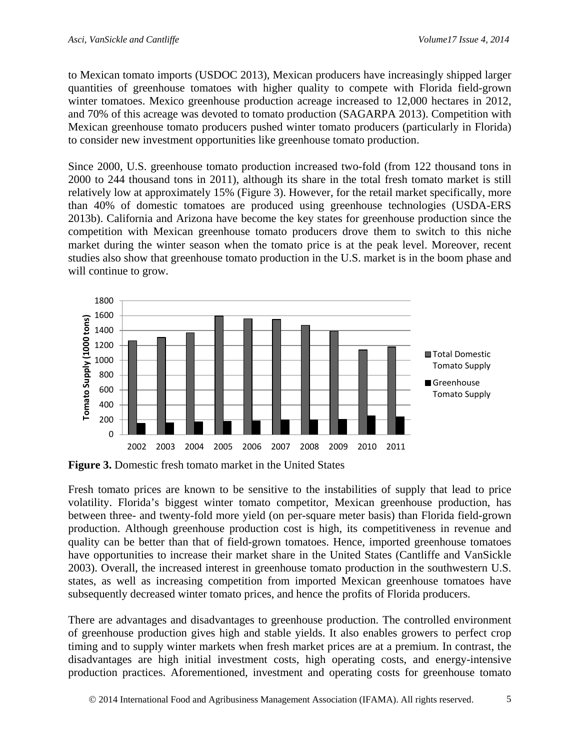to Mexican tomato imports (USDOC 2013), Mexican producers have increasingly shipped larger quantities of greenhouse tomatoes with higher quality to compete with Florida field-grown winter tomatoes. Mexico greenhouse production acreage increased to 12,000 hectares in 2012, and 70% of this acreage was devoted to tomato production (SAGARPA 2013). Competition with Mexican greenhouse tomato producers pushed winter tomato producers (particularly in Florida) to consider new investment opportunities like greenhouse tomato production.

Since 2000, U.S. greenhouse tomato production increased two-fold (from 122 thousand tons in 2000 to 244 thousand tons in 2011), although its share in the total fresh tomato market is still relatively low at approximately 15% (Figure 3). However, for the retail market specifically, more than 40% of domestic tomatoes are produced using greenhouse technologies (USDA-ERS 2013b). California and Arizona have become the key states for greenhouse production since the competition with Mexican greenhouse tomato producers drove them to switch to this niche market during the winter season when the tomato price is at the peak level. Moreover, recent studies also show that greenhouse tomato production in the U.S. market is in the boom phase and will continue to grow.



**Figure 3.** Domestic fresh tomato market in the United States

Fresh tomato prices are known to be sensitive to the instabilities of supply that lead to price volatility. Florida's biggest winter tomato competitor, Mexican greenhouse production, has between three- and twenty-fold more yield (on per-square meter basis) than Florida field-grown production. Although greenhouse production cost is high, its competitiveness in revenue and quality can be better than that of field-grown tomatoes. Hence, imported greenhouse tomatoes have opportunities to increase their market share in the United States (Cantliffe and VanSickle 2003). Overall, the increased interest in greenhouse tomato production in the southwestern U.S. states, as well as increasing competition from imported Mexican greenhouse tomatoes have subsequently decreased winter tomato prices, and hence the profits of Florida producers.

There are advantages and disadvantages to greenhouse production. The controlled environment of greenhouse production gives high and stable yields. It also enables growers to perfect crop timing and to supply winter markets when fresh market prices are at a premium. In contrast, the disadvantages are high initial investment costs, high operating costs, and energy-intensive production practices. Aforementioned, investment and operating costs for greenhouse tomato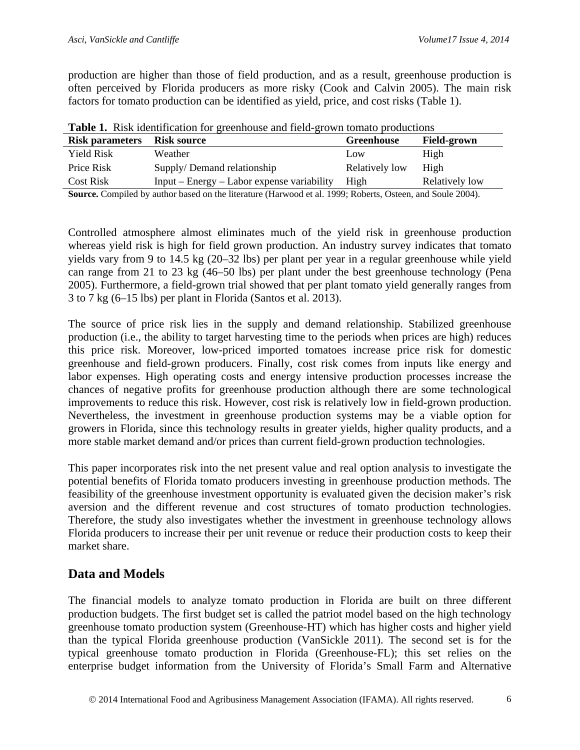production are higher than those of field production, and as a result, greenhouse production is often perceived by Florida producers as more risky (Cook and Calvin 2005). The main risk factors for tomato production can be identified as yield, price, and cost risks (Table 1).

| <b>Table 1.</b> Kisk Richtmeation for greenhouse and held-grown tomato productions |                                              |                |                    |  |  |  |
|------------------------------------------------------------------------------------|----------------------------------------------|----------------|--------------------|--|--|--|
| <b>Risk parameters</b> Risk source                                                 |                                              | Greenhouse     | <b>Field-grown</b> |  |  |  |
| Yield Risk                                                                         | Weather                                      | Low            | High               |  |  |  |
| Price Risk                                                                         | Supply/Demand relationship                   | Relatively low | High               |  |  |  |
| <b>Cost Risk</b>                                                                   | $Input - Energy - Labor expense variability$ | High           | Relatively low     |  |  |  |
|                                                                                    |                                              |                |                    |  |  |  |

**Table 1.** Risk identification for greenhouse and field-grown tomato productions

**Source.** Compiled by author based on the literature (Harwood et al. 1999; Roberts, Osteen, and Soule 2004).

Controlled atmosphere almost eliminates much of the yield risk in greenhouse production whereas yield risk is high for field grown production. An industry survey indicates that tomato yields vary from 9 to 14.5 kg (20–32 lbs) per plant per year in a regular greenhouse while yield can range from 21 to 23 kg (46–50 lbs) per plant under the best greenhouse technology (Pena 2005). Furthermore, a field-grown trial showed that per plant tomato yield generally ranges from 3 to 7 kg (6–15 lbs) per plant in Florida (Santos et al. 2013).

The source of price risk lies in the supply and demand relationship. Stabilized greenhouse production (i.e., the ability to target harvesting time to the periods when prices are high) reduces this price risk. Moreover, low-priced imported tomatoes increase price risk for domestic greenhouse and field-grown producers. Finally, cost risk comes from inputs like energy and labor expenses. High operating costs and energy intensive production processes increase the chances of negative profits for greenhouse production although there are some technological improvements to reduce this risk. However, cost risk is relatively low in field-grown production. Nevertheless, the investment in greenhouse production systems may be a viable option for growers in Florida, since this technology results in greater yields, higher quality products, and a more stable market demand and/or prices than current field-grown production technologies.

This paper incorporates risk into the net present value and real option analysis to investigate the potential benefits of Florida tomato producers investing in greenhouse production methods. The feasibility of the greenhouse investment opportunity is evaluated given the decision maker's risk aversion and the different revenue and cost structures of tomato production technologies. Therefore, the study also investigates whether the investment in greenhouse technology allows Florida producers to increase their per unit revenue or reduce their production costs to keep their market share.

### **Data and Models**

The financial models to analyze tomato production in Florida are built on three different production budgets. The first budget set is called the patriot model based on the high technology greenhouse tomato production system (Greenhouse-HT) which has higher costs and higher yield than the typical Florida greenhouse production (VanSickle 2011). The second set is for the typical greenhouse tomato production in Florida (Greenhouse-FL); this set relies on the enterprise budget information from the University of Florida's Small Farm and Alternative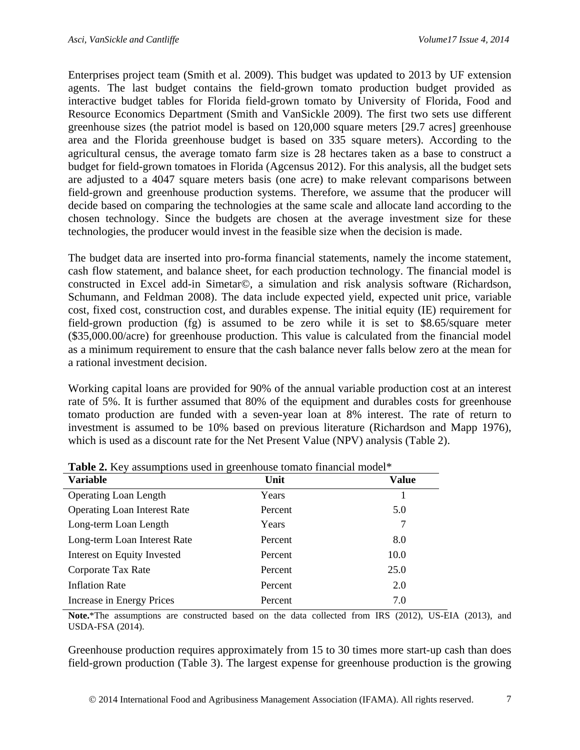Enterprises project team (Smith et al. 2009). This budget was updated to 2013 by UF extension agents. The last budget contains the field-grown tomato production budget provided as interactive budget tables for Florida field-grown tomato by University of Florida, Food and Resource Economics Department (Smith and VanSickle 2009). The first two sets use different greenhouse sizes (the patriot model is based on 120,000 square meters [29.7 acres] greenhouse area and the Florida greenhouse budget is based on 335 square meters). According to the agricultural census, the average tomato farm size is 28 hectares taken as a base to construct a budget for field-grown tomatoes in Florida (Agcensus 2012). For this analysis, all the budget sets are adjusted to a 4047 square meters basis (one acre) to make relevant comparisons between field-grown and greenhouse production systems. Therefore, we assume that the producer will decide based on comparing the technologies at the same scale and allocate land according to the chosen technology. Since the budgets are chosen at the average investment size for these technologies, the producer would invest in the feasible size when the decision is made.

The budget data are inserted into pro-forma financial statements, namely the income statement, cash flow statement, and balance sheet, for each production technology. The financial model is constructed in Excel add-in Simetar©, a simulation and risk analysis software (Richardson, Schumann, and Feldman 2008). The data include expected yield, expected unit price, variable cost, fixed cost, construction cost, and durables expense. The initial equity (IE) requirement for field-grown production (fg) is assumed to be zero while it is set to \$8.65/square meter (\$35,000.00/acre) for greenhouse production. This value is calculated from the financial model as a minimum requirement to ensure that the cash balance never falls below zero at the mean for a rational investment decision.

Working capital loans are provided for 90% of the annual variable production cost at an interest rate of 5%. It is further assumed that 80% of the equipment and durables costs for greenhouse tomato production are funded with a seven-year loan at 8% interest. The rate of return to investment is assumed to be 10% based on previous literature (Richardson and Mapp 1976), which is used as a discount rate for the Net Present Value (NPV) analysis (Table 2).

| <b>THOICE.</b> They assumptions ascu in greenhouse tomato imanella mouer |         |       |  |  |
|--------------------------------------------------------------------------|---------|-------|--|--|
| <b>Variable</b>                                                          | Unit    | Value |  |  |
| <b>Operating Loan Length</b>                                             | Years   |       |  |  |
| <b>Operating Loan Interest Rate</b>                                      | Percent | 5.0   |  |  |
| Long-term Loan Length                                                    | Years   |       |  |  |
| Long-term Loan Interest Rate                                             | Percent | 8.0   |  |  |
| Interest on Equity Invested                                              | Percent | 10.0  |  |  |
| Corporate Tax Rate                                                       | Percent | 25.0  |  |  |
| <b>Inflation Rate</b>                                                    | Percent | 2.0   |  |  |
| Increase in Energy Prices                                                | Percent | 7.0   |  |  |

**Table 2.** Key assumptions used in greenhouse tomato financial model\*

**Note.**\*The assumptions are constructed based on the data collected from IRS (2012), US-EIA (2013), and USDA-FSA (2014).

Greenhouse production requires approximately from 15 to 30 times more start-up cash than does field-grown production (Table 3). The largest expense for greenhouse production is the growing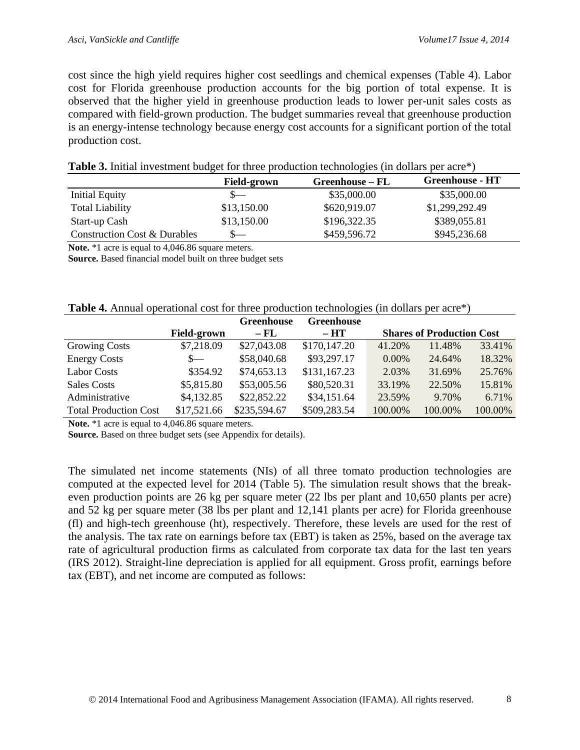cost since the high yield requires higher cost seedlings and chemical expenses (Table 4). Labor cost for Florida greenhouse production accounts for the big portion of total expense. It is observed that the higher yield in greenhouse production leads to lower per-unit sales costs as compared with field-grown production. The budget summaries reveal that greenhouse production is an energy-intense technology because energy cost accounts for a significant portion of the total production cost.

|                              | <b>Field-grown</b> | Greenhouse – FL | <b>Greenhouse - HT</b> |
|------------------------------|--------------------|-----------------|------------------------|
| <b>Initial Equity</b>        |                    | \$35,000.00     | \$35,000.00            |
| <b>Total Liability</b>       | \$13,150.00        | \$620,919.07    | \$1,299,292.49         |
| Start-up Cash                | \$13,150.00        | \$196,322.35    | \$389,055.81           |
| Construction Cost & Durables | $S-$               | \$459,596.72    | \$945,236.68           |

#### **Table 3.** Initial investment budget for three production technologies (in dollars per acre\*)

**Note.** \*1 acre is equal to 4,046.86 square meters.

**Source.** Based financial model built on three budget sets

| Table 4. Annual operational cost for three production technologies (in dollars per acre*) |
|-------------------------------------------------------------------------------------------|
|-------------------------------------------------------------------------------------------|

|                              |                    | <b>Greenhouse</b> | <b>Greenhouse</b> |          |                                  |         |
|------------------------------|--------------------|-------------------|-------------------|----------|----------------------------------|---------|
|                              | <b>Field-grown</b> | $-FL$             | $- H T$           |          | <b>Shares of Production Cost</b> |         |
| <b>Growing Costs</b>         | \$7,218.09         | \$27,043.08       | \$170,147.20      | 41.20%   | 11.48%                           | 33.41%  |
| <b>Energy Costs</b>          | $S-$               | \$58,040.68       | \$93,297.17       | $0.00\%$ | 24.64%                           | 18.32%  |
| <b>Labor Costs</b>           | \$354.92           | \$74,653.13       | \$131,167.23      | 2.03%    | 31.69%                           | 25.76%  |
| <b>Sales Costs</b>           | \$5,815.80         | \$53,005.56       | \$80,520.31       | 33.19%   | 22.50%                           | 15.81%  |
| Administrative               | \$4,132.85         | \$22,852.22       | \$34,151.64       | 23.59%   | 9.70%                            | 6.71%   |
| <b>Total Production Cost</b> | \$17,521.66        | \$235,594.67      | \$509,283.54      | 100.00%  | 100.00%                          | 100.00% |

Note. \*1 acre is equal to 4,046.86 square meters.

**Source.** Based on three budget sets (see Appendix for details).

The simulated net income statements (NIs) of all three tomato production technologies are computed at the expected level for 2014 (Table 5). The simulation result shows that the breakeven production points are 26 kg per square meter (22 lbs per plant and 10,650 plants per acre) and 52 kg per square meter (38 lbs per plant and 12,141 plants per acre) for Florida greenhouse (fl) and high-tech greenhouse (ht), respectively. Therefore, these levels are used for the rest of the analysis. The tax rate on earnings before tax (EBT) is taken as 25%, based on the average tax rate of agricultural production firms as calculated from corporate tax data for the last ten years (IRS 2012). Straight-line depreciation is applied for all equipment. Gross profit, earnings before tax (EBT), and net income are computed as follows: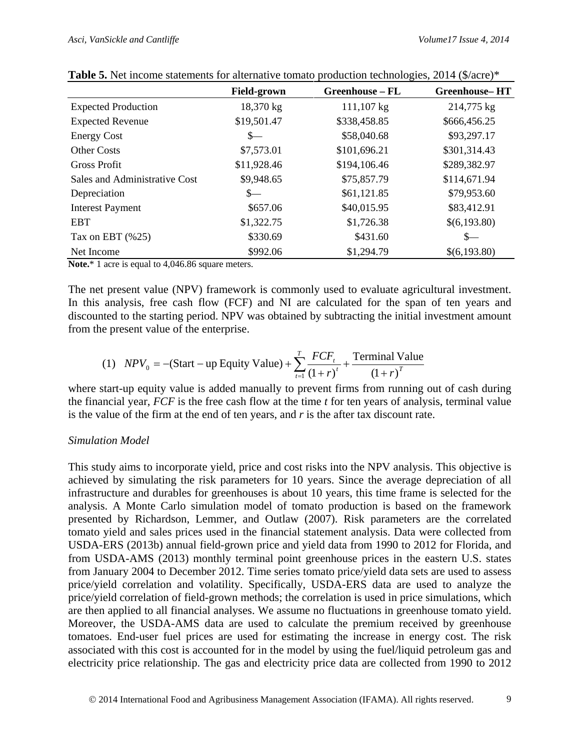|                               | <b>Field-grown</b> | Greenhouse - FL | <b>Greenhouse-HT</b> |
|-------------------------------|--------------------|-----------------|----------------------|
| <b>Expected Production</b>    | 18,370 kg          | 111,107 kg      | 214,775 kg           |
| <b>Expected Revenue</b>       | \$19,501.47        | \$338,458.85    | \$666,456.25         |
| <b>Energy Cost</b>            | $S-$               | \$58,040.68     | \$93,297.17          |
| <b>Other Costs</b>            | \$7,573.01         | \$101,696.21    | \$301,314.43         |
| <b>Gross Profit</b>           | \$11,928.46        | \$194,106.46    | \$289,382.97         |
| Sales and Administrative Cost | \$9,948.65         | \$75,857.79     | \$114,671.94         |
| Depreciation                  | $S-$               | \$61,121.85     | \$79,953.60          |
| <b>Interest Payment</b>       | \$657.06           | \$40,015.95     | \$83,412.91          |
| <b>EBT</b>                    | \$1,322.75         | \$1,726.38      | \$(6,193.80)         |
| Tax on EBT $(\%25)$           | \$330.69           | \$431.60        | $S-$                 |
| Net Income                    | \$992.06           | \$1,294.79      | \$(6,193.80)         |

| Table 5. Net income statements for alternative tomato production technologies, 2014 (\$/acre)* |  |
|------------------------------------------------------------------------------------------------|--|
|------------------------------------------------------------------------------------------------|--|

**Note.**\* 1 acre is equal to 4,046.86 square meters.

The net present value (NPV) framework is commonly used to evaluate agricultural investment. In this analysis, free cash flow (FCF) and NI are calculated for the span of ten years and discounted to the starting period. NPV was obtained by subtracting the initial investment amount from the present value of the enterprise.

(1) 
$$
NPV_0 = -(Start - up Equity Value) + \sum_{t=1}^{T} \frac{FCF_t}{(1+r)^t} + \frac{Terminal Value}{(1+r)^T}
$$

where start-up equity value is added manually to prevent firms from running out of cash during the financial year, *FCF* is the free cash flow at the time *t* for ten years of analysis, terminal value is the value of the firm at the end of ten years, and *r* is the after tax discount rate.

#### *Simulation Model*

This study aims to incorporate yield, price and cost risks into the NPV analysis. This objective is achieved by simulating the risk parameters for 10 years. Since the average depreciation of all infrastructure and durables for greenhouses is about 10 years, this time frame is selected for the analysis. A Monte Carlo simulation model of tomato production is based on the framework presented by Richardson, Lemmer, and Outlaw (2007). Risk parameters are the correlated tomato yield and sales prices used in the financial statement analysis. Data were collected from USDA-ERS (2013b) annual field-grown price and yield data from 1990 to 2012 for Florida, and from USDA-AMS (2013) monthly terminal point greenhouse prices in the eastern U.S. states from January 2004 to December 2012. Time series tomato price/yield data sets are used to assess price/yield correlation and volatility. Specifically, USDA-ERS data are used to analyze the price/yield correlation of field-grown methods; the correlation is used in price simulations, which are then applied to all financial analyses. We assume no fluctuations in greenhouse tomato yield. Moreover, the USDA-AMS data are used to calculate the premium received by greenhouse tomatoes. End-user fuel prices are used for estimating the increase in energy cost. The risk associated with this cost is accounted for in the model by using the fuel/liquid petroleum gas and electricity price relationship. The gas and electricity price data are collected from 1990 to 2012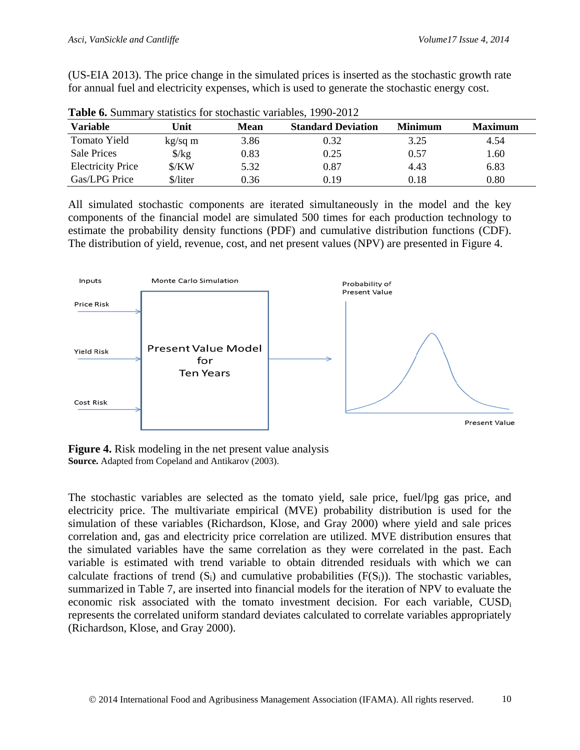(US-EIA 2013). The price change in the simulated prices is inserted as the stochastic growth rate for annual fuel and electricity expenses, which is used to generate the stochastic energy cost.

| <b>THURS</b> OF DUITING  |                      |      |                           |                |                |
|--------------------------|----------------------|------|---------------------------|----------------|----------------|
| <b>Variable</b>          | Unit                 | Mean | <b>Standard Deviation</b> | <b>Minimum</b> | <b>Maximum</b> |
| Tomato Yield             | $kg/sq$ m            | 3.86 | 0.32                      | 3.25           | 4.54           |
| <b>Sale Prices</b>       | $\frac{\sqrt{2}}{2}$ | 0.83 | 0.25                      | 0.57           | 1.60           |
| <b>Electricity Price</b> | \$/KW                | 5.32 | 0.87                      | 4.43           | 6.83           |
| Gas/LPG Price            | \$/liter             | 0.36 | 0.19                      | $0.18\,$       | 0.80           |

**Table 6.** Summary statistics for stochastic variables, 1990-2012

All simulated stochastic components are iterated simultaneously in the model and the key components of the financial model are simulated 500 times for each production technology to estimate the probability density functions (PDF) and cumulative distribution functions (CDF). The distribution of yield, revenue, cost, and net present values (NPV) are presented in Figure 4.



**Figure 4.** Risk modeling in the net present value analysis **Source.** Adapted from Copeland and Antikarov (2003).

The stochastic variables are selected as the tomato yield, sale price, fuel/lpg gas price, and electricity price. The multivariate empirical (MVE) probability distribution is used for the simulation of these variables (Richardson, Klose, and Gray 2000) where yield and sale prices correlation and, gas and electricity price correlation are utilized. MVE distribution ensures that the simulated variables have the same correlation as they were correlated in the past. Each variable is estimated with trend variable to obtain ditrended residuals with which we can calculate fractions of trend  $(S_i)$  and cumulative probabilities  $(F(S_i))$ . The stochastic variables, summarized in Table 7, are inserted into financial models for the iteration of NPV to evaluate the economic risk associated with the tomato investment decision. For each variable, CUSDi represents the correlated uniform standard deviates calculated to correlate variables appropriately (Richardson, Klose, and Gray 2000).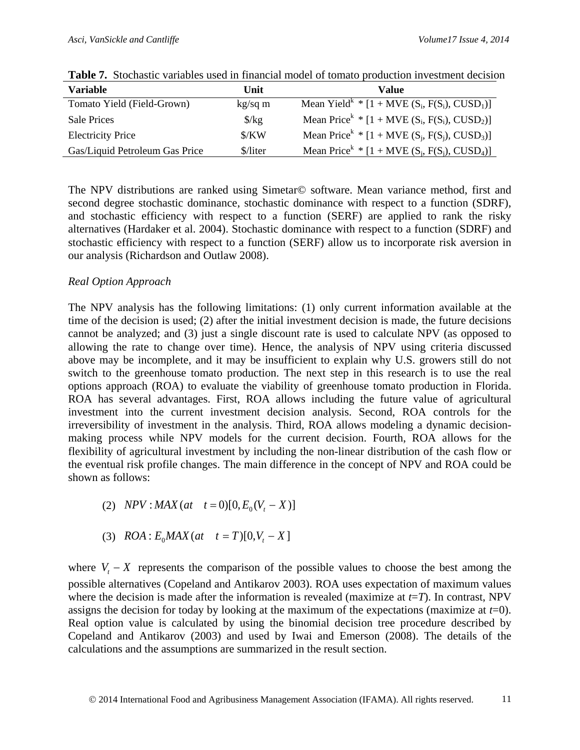| <b>Variable</b>                | Unit                          | Value                                                              |
|--------------------------------|-------------------------------|--------------------------------------------------------------------|
| Tomato Yield (Field-Grown)     | $kg/sq$ m                     | Mean Yield <sup>k</sup> * $[1 + MVE(S_i, F(S_i), CUSD_1)]$         |
| <b>Sale Prices</b>             | $\frac{\chi}{\chi}$           | Mean Price <sup>k</sup> * $[1 + \text{MVE (S_i, F(S_i), CUSD_2)}]$ |
| <b>Electricity Price</b>       | $\frac{\text{S}}{\text{K}}$ W | Mean Price <sup>k</sup> * $[1 + \text{MVE (S_i, F(S_i), CUSD_3)}]$ |
| Gas/Liquid Petroleum Gas Price | \$/liter                      | Mean Price <sup>k</sup> * $[1 + \text{MVE (S_i, F(S_i), CUSD_4)}]$ |

**Table 7.** Stochastic variables used in financial model of tomato production investment decision

The NPV distributions are ranked using Simetar© software. Mean variance method, first and second degree stochastic dominance, stochastic dominance with respect to a function (SDRF), and stochastic efficiency with respect to a function (SERF) are applied to rank the risky alternatives (Hardaker et al. 2004). Stochastic dominance with respect to a function (SDRF) and stochastic efficiency with respect to a function (SERF) allow us to incorporate risk aversion in our analysis (Richardson and Outlaw 2008).

### *Real Option Approach*

The NPV analysis has the following limitations: (1) only current information available at the time of the decision is used; (2) after the initial investment decision is made, the future decisions cannot be analyzed; and (3) just a single discount rate is used to calculate NPV (as opposed to allowing the rate to change over time). Hence, the analysis of NPV using criteria discussed above may be incomplete, and it may be insufficient to explain why U.S. growers still do not switch to the greenhouse tomato production. The next step in this research is to use the real options approach (ROA) to evaluate the viability of greenhouse tomato production in Florida. ROA has several advantages. First, ROA allows including the future value of agricultural investment into the current investment decision analysis. Second, ROA controls for the irreversibility of investment in the analysis. Third, ROA allows modeling a dynamic decisionmaking process while NPV models for the current decision. Fourth, ROA allows for the flexibility of agricultural investment by including the non-linear distribution of the cash flow or the eventual risk profile changes. The main difference in the concept of NPV and ROA could be shown as follows:

- (2)  $NPV: MAX(at \t t=0)[0, E_0(V_t X)]$
- (3)  $ROA: E_0MAX(at \ t = T)[0, V_t X]$

where  $V_t - X$  represents the comparison of the possible values to choose the best among the possible alternatives (Copeland and Antikarov 2003). ROA uses expectation of maximum values where the decision is made after the information is revealed (maximize at *t*=*T*). In contrast, NPV assigns the decision for today by looking at the maximum of the expectations (maximize at *t*=0). Real option value is calculated by using the binomial decision tree procedure described by Copeland and Antikarov (2003) and used by Iwai and Emerson (2008). The details of the calculations and the assumptions are summarized in the result section.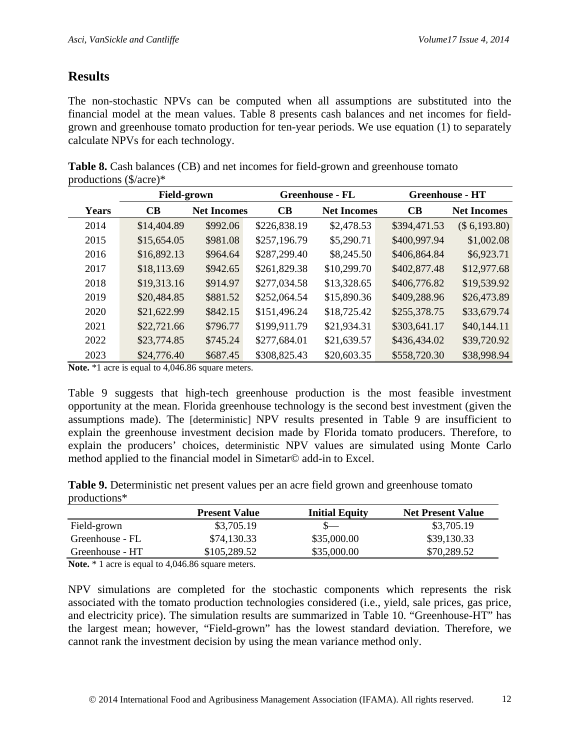# **Results**

The non-stochastic NPVs can be computed when all assumptions are substituted into the financial model at the mean values. Table 8 presents cash balances and net incomes for fieldgrown and greenhouse tomato production for ten-year periods. We use equation (1) to separately calculate NPVs for each technology.

| Table 8. Cash balances (CB) and net incomes for field-grown and greenhouse tomato |  |  |
|-----------------------------------------------------------------------------------|--|--|
| productions $(\frac{5}{\arccos}^*)^*$                                             |  |  |

|              | <b>Field-grown</b> |                    | <b>Greenhouse - FL</b> |                    | <b>Greenhouse - HT</b> |                    |
|--------------|--------------------|--------------------|------------------------|--------------------|------------------------|--------------------|
| <b>Years</b> | <b>CB</b>          | <b>Net Incomes</b> | CB                     | <b>Net Incomes</b> | CB                     | <b>Net Incomes</b> |
| 2014         | \$14,404.89        | \$992.06           | \$226,838.19           | \$2,478.53         | \$394,471.53           | (\$6,193.80)       |
| 2015         | \$15,654.05        | \$981.08           | \$257,196.79           | \$5,290.71         | \$400,997.94           | \$1,002.08         |
| 2016         | \$16,892.13        | \$964.64           | \$287,299.40           | \$8,245.50         | \$406,864.84           | \$6,923.71         |
| 2017         | \$18,113.69        | \$942.65           | \$261,829.38           | \$10,299.70        | \$402,877.48           | \$12,977.68        |
| 2018         | \$19,313.16        | \$914.97           | \$277,034.58           | \$13,328.65        | \$406,776.82           | \$19,539.92        |
| 2019         | \$20,484.85        | \$881.52           | \$252,064.54           | \$15,890.36        | \$409,288.96           | \$26,473.89        |
| 2020         | \$21,622.99        | \$842.15           | \$151,496.24           | \$18,725.42        | \$255,378.75           | \$33,679.74        |
| 2021         | \$22,721.66        | \$796.77           | \$199,911.79           | \$21,934.31        | \$303,641.17           | \$40,144.11        |
| 2022         | \$23,774.85        | \$745.24           | \$277,684.01           | \$21,639.57        | \$436,434.02           | \$39,720.92        |
| 2023         | \$24,776.40        | \$687.45           | \$308,825.43           | \$20,603.35        | \$558,720.30           | \$38,998.94        |

**Note.** \*1 acre is equal to 4,046.86 square meters.

Table 9 suggests that high-tech greenhouse production is the most feasible investment opportunity at the mean. Florida greenhouse technology is the second best investment (given the assumptions made). The [deterministic] NPV results presented in Table 9 are insufficient to explain the greenhouse investment decision made by Florida tomato producers. Therefore, to explain the producers' choices, deterministic NPV values are simulated using Monte Carlo method applied to the financial model in Simetar© add-in to Excel.

**Table 9.** Deterministic net present values per an acre field grown and greenhouse tomato productions\*

| <b>Present Value</b> | <b>Initial Equity</b> | <b>Net Present Value</b> |
|----------------------|-----------------------|--------------------------|
| \$3,705.19           | $S-$                  | \$3,705.19               |
| \$74,130.33          | \$35,000.00           | \$39,130.33              |
| \$105,289.52         | \$35,000.00           | \$70,289.52              |
|                      |                       |                          |

**Note.** \* 1 acre is equal to 4,046.86 square meters.

NPV simulations are completed for the stochastic components which represents the risk associated with the tomato production technologies considered (i.e., yield, sale prices, gas price, and electricity price). The simulation results are summarized in Table 10. "Greenhouse-HT" has the largest mean; however, "Field-grown" has the lowest standard deviation. Therefore, we cannot rank the investment decision by using the mean variance method only.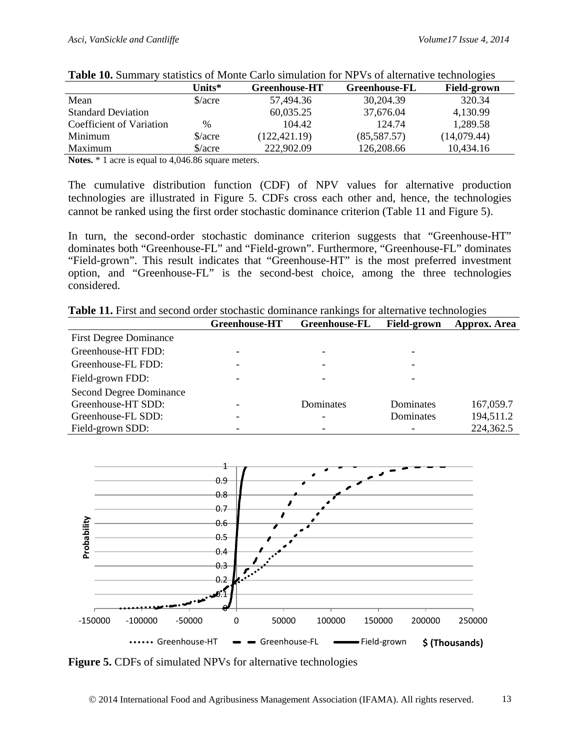| $\sim$ 0.000 $\sim$ 0.000 $\sim$ 0.000 $\sim$ |                                |                      |                      |                    |  |  |
|-----------------------------------------------|--------------------------------|----------------------|----------------------|--------------------|--|--|
|                                               | Units $*$                      | <b>Greenhouse-HT</b> | <b>Greenhouse-FL</b> | <b>Field-grown</b> |  |  |
| Mean                                          | $\frac{\text{S}}{\text{acre}}$ | 57,494.36            | 30,204.39            | 320.34             |  |  |
| <b>Standard Deviation</b>                     |                                | 60,035.25            | 37,676.04            | 4,130.99           |  |  |
| Coefficient of Variation                      | $\%$                           | 104.42               | 124.74               | 1,289.58           |  |  |
| Minimum                                       | $\frac{\text{S}}{\text{acre}}$ | (122, 421.19)        | (85,587.57)          | (14,079.44)        |  |  |
| Maximum                                       | $\frac{\text{S}}{\text{acre}}$ | 222,902.09           | 126,208.66           | 10,434.16          |  |  |

|  |  |  |  | Table 10. Summary statistics of Monte Carlo simulation for NPVs of alternative technologies |
|--|--|--|--|---------------------------------------------------------------------------------------------|
|--|--|--|--|---------------------------------------------------------------------------------------------|

**Notes.** \* 1 acre is equal to 4,046.86 square meters.

The cumulative distribution function (CDF) of NPV values for alternative production technologies are illustrated in Figure 5. CDFs cross each other and, hence, the technologies cannot be ranked using the first order stochastic dominance criterion (Table 11 and Figure 5).

In turn, the second-order stochastic dominance criterion suggests that "Greenhouse-HT" dominates both "Greenhouse-FL" and "Field-grown". Furthermore, "Greenhouse-FL" dominates "Field-grown". This result indicates that "Greenhouse-HT" is the most preferred investment option, and "Greenhouse-FL" is the second-best choice, among the three technologies considered.

| Table 11. First and second order stochastic dominance rankings for alternative technologies |  |
|---------------------------------------------------------------------------------------------|--|
|---------------------------------------------------------------------------------------------|--|

|                                | <b>Greenhouse-HT</b> | <b>Greenhouse-FL</b>         | <b>Field-grown</b> | Approx. Area |
|--------------------------------|----------------------|------------------------------|--------------------|--------------|
| <b>First Degree Dominance</b>  |                      |                              |                    |              |
| Greenhouse-HT FDD:             |                      | -                            |                    |              |
| Greenhouse-FL FDD:             |                      | -                            |                    |              |
| Field-grown FDD:               |                      | -                            |                    |              |
| <b>Second Degree Dominance</b> |                      |                              |                    |              |
| Greenhouse-HT SDD:             |                      | Dominates                    | Dominates          | 167,059.7    |
| Greenhouse-FL SDD:             |                      | $\qquad \qquad \blacksquare$ | Dominates          | 194,511.2    |
| Field-grown SDD:               |                      | $\overline{\phantom{0}}$     |                    | 224,362.5    |



**Figure 5.** CDFs of simulated NPVs for alternative technologies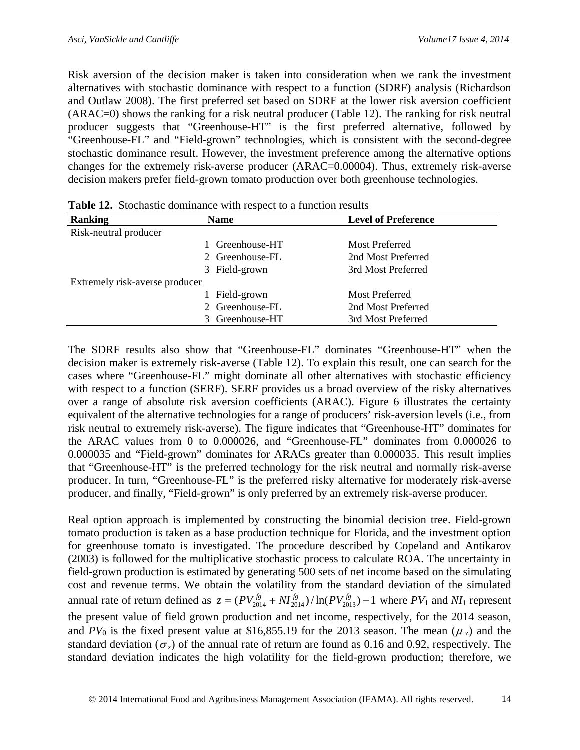Risk aversion of the decision maker is taken into consideration when we rank the investment alternatives with stochastic dominance with respect to a function (SDRF) analysis (Richardson and Outlaw 2008). The first preferred set based on SDRF at the lower risk aversion coefficient (ARAC=0) shows the ranking for a risk neutral producer (Table 12). The ranking for risk neutral producer suggests that "Greenhouse-HT" is the first preferred alternative, followed by "Greenhouse-FL" and "Field-grown" technologies, which is consistent with the second-degree stochastic dominance result. However, the investment preference among the alternative options changes for the extremely risk-averse producer (ARAC=0.00004). Thus, extremely risk-averse decision makers prefer field-grown tomato production over both greenhouse technologies.

| <b>Ranking</b>                 | <b>Name</b>     | <b>Level of Preference</b> |
|--------------------------------|-----------------|----------------------------|
| Risk-neutral producer          |                 |                            |
|                                | Greenhouse-HT   | Most Preferred             |
|                                | 2 Greenhouse-FL | 2nd Most Preferred         |
|                                | 3 Field-grown   | 3rd Most Preferred         |
| Extremely risk-averse producer |                 |                            |
|                                | Field-grown     | Most Preferred             |
|                                | 2 Greenhouse-FL | 2nd Most Preferred         |
|                                | 3 Greenhouse-HT | 3rd Most Preferred         |

**Table 12.** Stochastic dominance with respect to a function results

The SDRF results also show that "Greenhouse-FL" dominates "Greenhouse-HT" when the decision maker is extremely risk-averse (Table 12). To explain this result, one can search for the cases where "Greenhouse-FL" might dominate all other alternatives with stochastic efficiency with respect to a function (SERF). SERF provides us a broad overview of the risky alternatives over a range of absolute risk aversion coefficients (ARAC). Figure 6 illustrates the certainty equivalent of the alternative technologies for a range of producers' risk-aversion levels (i.e., from risk neutral to extremely risk-averse). The figure indicates that "Greenhouse-HT" dominates for the ARAC values from 0 to 0.000026, and "Greenhouse-FL" dominates from 0.000026 to 0.000035 and "Field-grown" dominates for ARACs greater than 0.000035. This result implies that "Greenhouse-HT" is the preferred technology for the risk neutral and normally risk-averse producer. In turn, "Greenhouse-FL" is the preferred risky alternative for moderately risk-averse producer, and finally, "Field-grown" is only preferred by an extremely risk-averse producer.

Real option approach is implemented by constructing the binomial decision tree. Field-grown tomato production is taken as a base production technique for Florida, and the investment option for greenhouse tomato is investigated. The procedure described by Copeland and Antikarov (2003) is followed for the multiplicative stochastic process to calculate ROA. The uncertainty in field-grown production is estimated by generating 500 sets of net income based on the simulating cost and revenue terms. We obtain the volatility from the standard deviation of the simulated annual rate of return defined as  $z = (PV_{2014}^{fg} + NI_{2014}^{fg}) / ln(PV_{2013}^{fg}) - 1$  where  $PV_1$  and  $NI_1$  represent the present value of field grown production and net income, respectively, for the 2014 season, and  $PV_0$  is the fixed present value at \$16,855.19 for the 2013 season. The mean ( $\mu_z$ ) and the standard deviation ( $\sigma_z$ ) of the annual rate of return are found as 0.16 and 0.92, respectively. The standard deviation indicates the high volatility for the field-grown production; therefore, we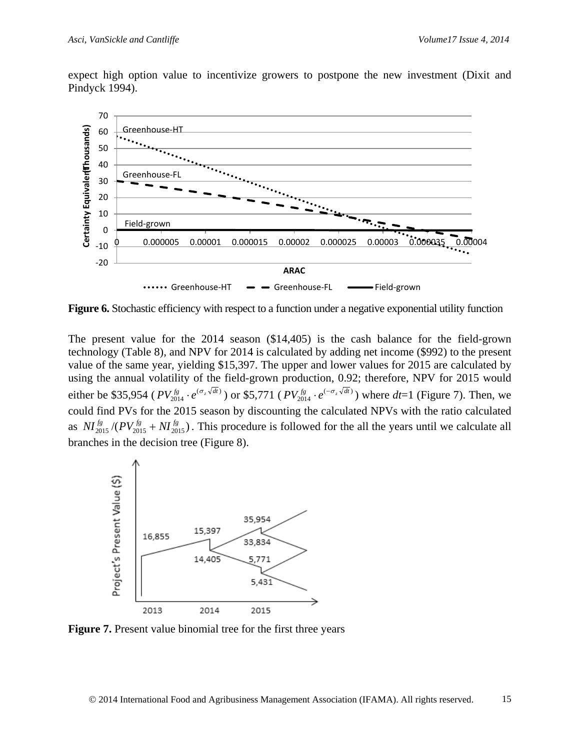expect high option value to incentivize growers to postpone the new investment (Dixit and Pindyck 1994).



**Figure 6.** Stochastic efficiency with respect to a function under a negative exponential utility function

The present value for the 2014 season (\$14,405) is the cash balance for the field-grown technology (Table 8), and NPV for 2014 is calculated by adding net income (\$992) to the present value of the same year, yielding \$15,397. The upper and lower values for 2015 are calculated by using the annual volatility of the field-grown production, 0.92; therefore, NPV for 2015 would either be \$35,954 ( $PV_{2014}^{fs} \cdot e^{(\sigma_z \sqrt{dt})}$ ) or \$5,771 ( $PV_{2014}^{fs} \cdot e^{(-\sigma_z \sqrt{dt})}$ ) where  $dt$ =1 (Figure 7). Then, we could find PVs for the 2015 season by discounting the calculated NPVs with the ratio calculated as  $\frac{NI_{2015}^f}{(PV_{2015}^{fg} + NI_{2015}^{fg})}$ . This procedure is followed for the all the years until we calculate all branches in the decision tree (Figure 8).



**Figure 7.** Present value binomial tree for the first three years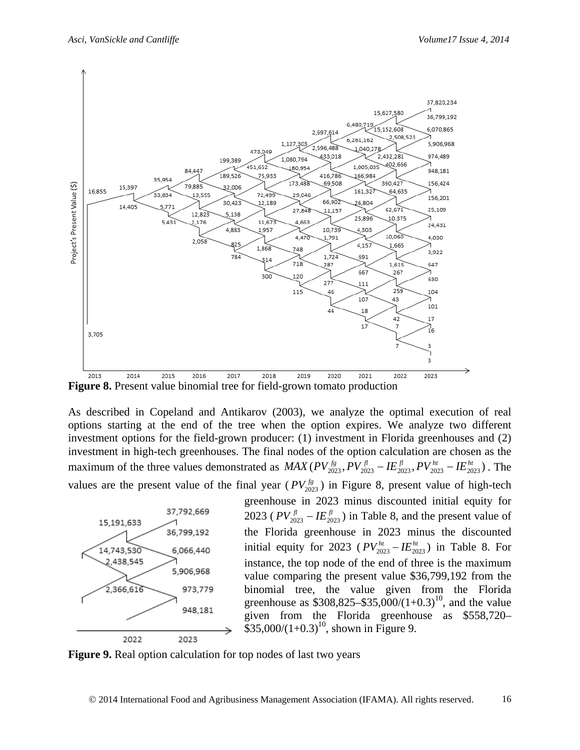

**Figure 8.** Present value binomial tree for field-grown tomato production

As described in Copeland and Antikarov (2003), we analyze the optimal execution of real options starting at the end of the tree when the option expires. We analyze two different investment options for the field-grown producer: (1) investment in Florida greenhouses and (2) investment in high-tech greenhouses. The final nodes of the option calculation are chosen as the maximum of the three values demonstrated as  $MAX(PV_{2023}^{fg}, PV_{2023}^{fl} - IE_{2023}^{fl} - IE_{2023}^{ht} - IE_{2023}^{ht})$ . The values are the present value of the final year ( $PV_{2023}^{~(g)}$ ) in Figure 8, present value of high-tech



greenhouse in 2023 minus discounted initial equity for 2023 ( $PV_{2023}^{fl} - I E_{2023}^{fl}$ ) in Table 8, and the present value of the Florida greenhouse in 2023 minus the discounted initial equity for 2023 ( $PV_{2023}^{ht} - IE_{2023}^{ht}$ ) in Table 8. For instance, the top node of the end of three is the maximum value comparing the present value \$36,799,192 from the binomial tree, the value given from the Florida greenhouse as  $$308,825 - $35,000/(1+0.3)^{10}$ , and the value given from the Florida greenhouse as \$558,720–  $$35,000/(1+0.3)^{10}$ , shown in Figure 9.

**Figure 9.** Real option calculation for top nodes of last two years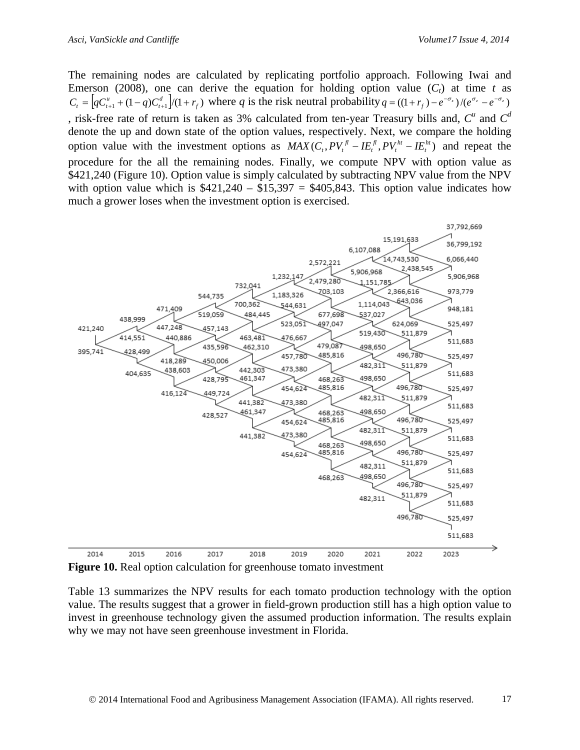The remaining nodes are calculated by replicating portfolio approach. Following Iwai and Emerson (2008), one can derive the equation for holding option value  $(C_t)$  at time *t* as  $C_t = \left[ qC_{t+1}^u + (1-q)C_{t+1}^d \right] / (1+r_f)$  where q is the risk neutral probability  $q = ((1+r_f) - e^{-\sigma_z}) / (e^{\sigma_z} - e^{-\sigma_z})$ , risk-free rate of return is taken as 3% calculated from ten-year Treasury bills and,  $C^u$  and  $C^d$ denote the up and down state of the option values, respectively. Next, we compare the holding option value with the investment options as  $MAX(C_t, PV_t^{\beta} - IE_t^{\beta}, PV_t^{\beta} - IE_t^{\beta})$ *ht t fl t*  $MAX(C_t, PV_t^{\beta} - IE_t^{\beta}, PV_t^{\beta} - IE_t^{\beta})$  and repeat the procedure for the all the remaining nodes. Finally, we compute NPV with option value as \$421,240 (Figure 10). Option value is simply calculated by subtracting NPV value from the NPV with option value which is  $$421,240 - $15,397 = $405,843$ . This option value indicates how much a grower loses when the investment option is exercised.



**Figure 10.** Real option calculation for greenhouse tomato investment

Table 13 summarizes the NPV results for each tomato production technology with the option value. The results suggest that a grower in field-grown production still has a high option value to invest in greenhouse technology given the assumed production information. The results explain why we may not have seen greenhouse investment in Florida.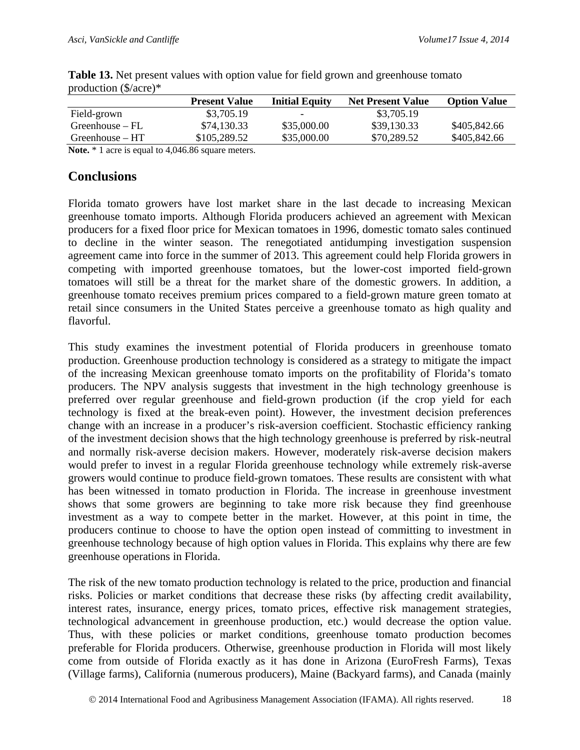|                                                                                            | <b>Present Value</b> | <b>Initial Equity</b> | <b>Net Present Value</b> | <b>Option Value</b> |
|--------------------------------------------------------------------------------------------|----------------------|-----------------------|--------------------------|---------------------|
| Field-grown                                                                                | \$3,705.19           |                       | \$3,705.19               |                     |
| $Greenhouse - FL$                                                                          | \$74,130.33          | \$35,000.00           | \$39,130.33              | \$405,842.66        |
| Greenhouse – HT                                                                            | \$105,289.52         | \$35,000.00           | \$70,289.52              | \$405,842.66        |
| $\mathbf{M}$ $\mathbf{L}$ $\mathbf{L}$ $\mathbf{L}$ $\mathbf{L}$ $\mathbf{L}$ $\mathbf{L}$ | 1.101707             |                       |                          |                     |

**Table 13.** Net present values with option value for field grown and greenhouse tomato production (\$/acre)\*

**Note.** \* 1 acre is equal to 4,046.86 square meters.

## **Conclusions**

Florida tomato growers have lost market share in the last decade to increasing Mexican greenhouse tomato imports. Although Florida producers achieved an agreement with Mexican producers for a fixed floor price for Mexican tomatoes in 1996, domestic tomato sales continued to decline in the winter season. The renegotiated antidumping investigation suspension agreement came into force in the summer of 2013. This agreement could help Florida growers in competing with imported greenhouse tomatoes, but the lower-cost imported field-grown tomatoes will still be a threat for the market share of the domestic growers. In addition, a greenhouse tomato receives premium prices compared to a field-grown mature green tomato at retail since consumers in the United States perceive a greenhouse tomato as high quality and flavorful.

This study examines the investment potential of Florida producers in greenhouse tomato production. Greenhouse production technology is considered as a strategy to mitigate the impact of the increasing Mexican greenhouse tomato imports on the profitability of Florida's tomato producers. The NPV analysis suggests that investment in the high technology greenhouse is preferred over regular greenhouse and field-grown production (if the crop yield for each technology is fixed at the break-even point). However, the investment decision preferences change with an increase in a producer's risk-aversion coefficient. Stochastic efficiency ranking of the investment decision shows that the high technology greenhouse is preferred by risk-neutral and normally risk-averse decision makers. However, moderately risk-averse decision makers would prefer to invest in a regular Florida greenhouse technology while extremely risk-averse growers would continue to produce field-grown tomatoes. These results are consistent with what has been witnessed in tomato production in Florida. The increase in greenhouse investment shows that some growers are beginning to take more risk because they find greenhouse investment as a way to compete better in the market. However, at this point in time, the producers continue to choose to have the option open instead of committing to investment in greenhouse technology because of high option values in Florida. This explains why there are few greenhouse operations in Florida.

The risk of the new tomato production technology is related to the price, production and financial risks. Policies or market conditions that decrease these risks (by affecting credit availability, interest rates, insurance, energy prices, tomato prices, effective risk management strategies, technological advancement in greenhouse production, etc.) would decrease the option value. Thus, with these policies or market conditions, greenhouse tomato production becomes preferable for Florida producers. Otherwise, greenhouse production in Florida will most likely come from outside of Florida exactly as it has done in Arizona (EuroFresh Farms), Texas (Village farms), California (numerous producers), Maine (Backyard farms), and Canada (mainly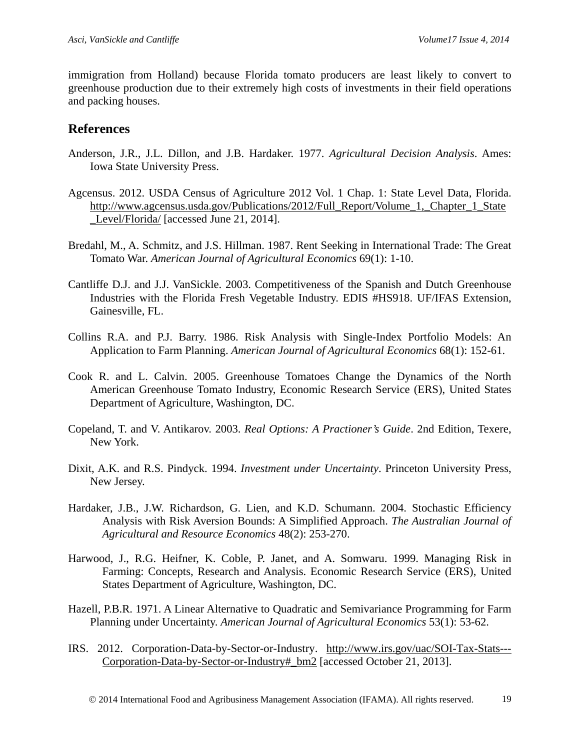immigration from Holland) because Florida tomato producers are least likely to convert to greenhouse production due to their extremely high costs of investments in their field operations and packing houses.

#### **References**

- Anderson, J.R., J.L. Dillon, and J.B. Hardaker. 1977. *Agricultural Decision Analysis*. Ames: Iowa State University Press.
- Agcensus. 2012. USDA Census of Agriculture 2012 Vol. 1 Chap. 1: State Level Data, Florida. [http://www.agcensus.usda.gov/Publications/2012/Full\\_Report/Volume\\_1,\\_Chapter\\_1\\_State](http://www.agcensus.usda.gov/Publications/2012/Full_Report/Volume_1,_Chapter_1_State_Level/Florida/) [\\_Level/Florida/](http://www.agcensus.usda.gov/Publications/2012/Full_Report/Volume_1,_Chapter_1_State_Level/Florida/) [accessed June 21, 2014].
- Bredahl, M., A. Schmitz, and J.S. Hillman. 1987. Rent Seeking in International Trade: The Great Tomato War. *American Journal of Agricultural Economics* 69(1): 1-10.
- Cantliffe D.J. and J.J. VanSickle. 2003. Competitiveness of the Spanish and Dutch Greenhouse Industries with the Florida Fresh Vegetable Industry. EDIS #HS918. UF/IFAS Extension, Gainesville, FL.
- Collins R.A. and P.J. Barry. 1986. Risk Analysis with Single-Index Portfolio Models: An Application to Farm Planning. *American Journal of Agricultural Economics* 68(1): 152-61.
- Cook R. and L. Calvin. 2005. Greenhouse Tomatoes Change the Dynamics of the North American Greenhouse Tomato Industry, Economic Research Service (ERS), United States Department of Agriculture, Washington, DC.
- Copeland, T. and V. Antikarov. 2003. *Real Options: A Practioner's Guide*. 2nd Edition, Texere, New York.
- Dixit, A.K. and R.S. Pindyck. 1994. *Investment under Uncertainty*. Princeton University Press, New Jersey.
- Hardaker, J.B., J.W. Richardson, G. Lien, and K.D. Schumann. 2004. Stochastic Efficiency Analysis with Risk Aversion Bounds: A Simplified Approach. *The Australian Journal of Agricultural and Resource Economics* 48(2): 253-270.
- Harwood, J., R.G. Heifner, K. Coble, P. Janet, and A. Somwaru. 1999. Managing Risk in Farming: Concepts, Research and Analysis. Economic Research Service (ERS), United States Department of Agriculture, Washington, DC.
- Hazell, P.B.R. 1971. A Linear Alternative to Quadratic and Semivariance Programming for Farm Planning under Uncertainty. *American Journal of Agricultural Economics* 53(1): 53-62.
- IRS. 2012. Corporation-Data-by-Sector-or-Industry. [http://www.irs.gov/uac/SOI-Tax-Stats---](http://www.irs.gov/uac/SOI-Tax-Stats---Corporation-Data-by-Sector-or-Industry%23_bm2) [Corporation-Data-by-Sector-or-Industry#\\_bm2](http://www.irs.gov/uac/SOI-Tax-Stats---Corporation-Data-by-Sector-or-Industry%23_bm2) [accessed October 21, 2013].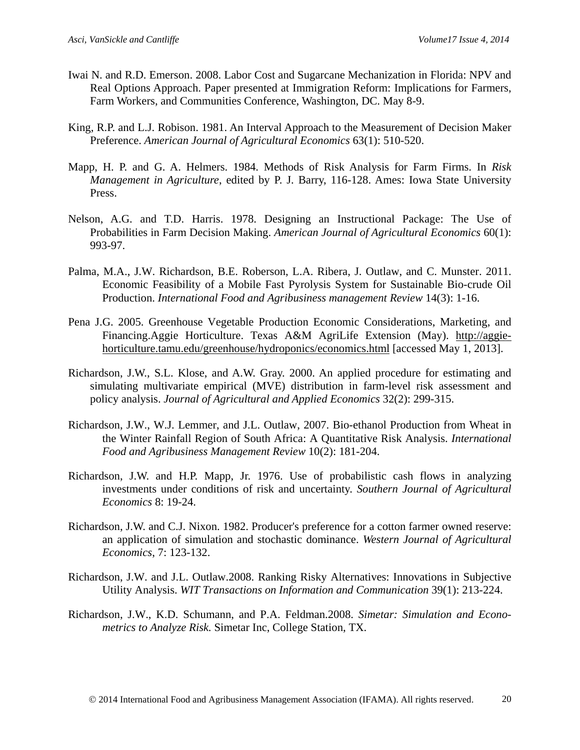- Iwai N. and R.D. Emerson. 2008. Labor Cost and Sugarcane Mechanization in Florida: NPV and Real Options Approach. Paper presented at Immigration Reform: Implications for Farmers, Farm Workers, and Communities Conference, Washington, DC. May 8-9.
- King, R.P. and L.J. Robison. 1981. An Interval Approach to the Measurement of Decision Maker Preference. *American Journal of Agricultural Economics* 63(1): 510-520.
- Mapp, H. P. and G. A. Helmers. 1984. Methods of Risk Analysis for Farm Firms. In *Risk Management in Agriculture*, edited by P. J. Barry, 116-128. Ames: Iowa State University Press.
- Nelson, A.G. and T.D. Harris. 1978. Designing an Instructional Package: The Use of Probabilities in Farm Decision Making. *American Journal of Agricultural Economics* 60(1): 993-97.
- Palma, M.A., J.W. Richardson, B.E. Roberson, L.A. Ribera, J. Outlaw, and C. Munster. 2011. Economic Feasibility of a Mobile Fast Pyrolysis System for Sustainable Bio-crude Oil Production. *International Food and Agribusiness management Review* 14(3): 1-16.
- Pena J.G. 2005. Greenhouse Vegetable Production Economic Considerations, Marketing, and Financing.Aggie Horticulture. Texas A&M AgriLife Extension (May). [http://aggie](http://aggie-horticulture.tamu.edu/greenhouse/hydroponics/economics.html)[horticulture.tamu.edu/greenhouse/hydroponics/economics.html](http://aggie-horticulture.tamu.edu/greenhouse/hydroponics/economics.html) [accessed May 1, 2013].
- Richardson, J.W., S.L. Klose, and A.W. Gray. 2000. An applied procedure for estimating and simulating multivariate empirical (MVE) distribution in farm-level risk assessment and policy analysis. *Journal of Agricultural and Applied Economics* 32(2): 299-315.
- Richardson, J.W., W.J. Lemmer, and J.L. Outlaw, 2007. Bio-ethanol Production from Wheat in the Winter Rainfall Region of South Africa: A Quantitative Risk Analysis. *International Food and Agribusiness Management Review* 10(2): 181-204.
- Richardson, J.W. and H.P. Mapp, Jr. 1976. Use of probabilistic cash flows in analyzing investments under conditions of risk and uncertainty. *Southern Journal of Agricultural Economics* 8: 19-24.
- Richardson, J.W. and C.J. Nixon. 1982. Producer's preference for a cotton farmer owned reserve: an application of simulation and stochastic dominance. *Western Journal of Agricultural Economics*, 7: 123-132.
- Richardson, J.W. and J.L. Outlaw.2008. Ranking Risky Alternatives: Innovations in Subjective Utility Analysis. *WIT Transactions on Information and Communication* 39(1): 213-224.
- Richardson, J.W., K.D. Schumann, and P.A. Feldman.2008. *Simetar: Simulation and Econometrics to Analyze Risk.* Simetar Inc, College Station, TX.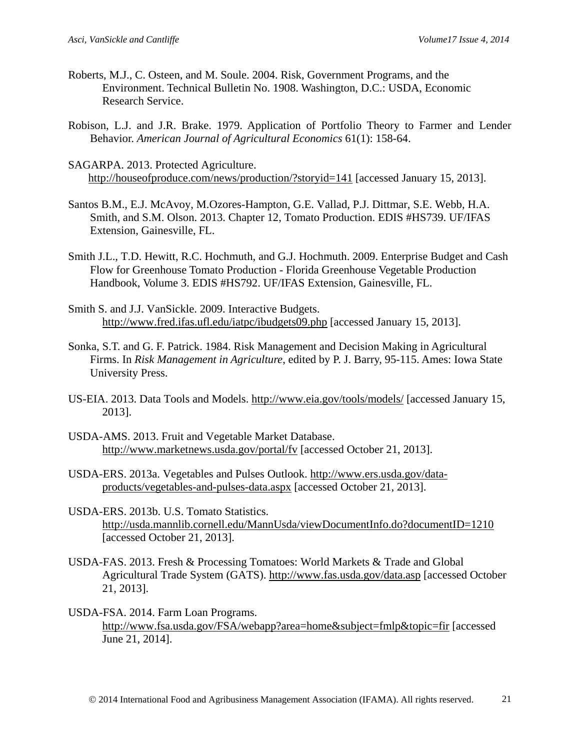- Roberts, M.J., C. Osteen, and M. Soule. 2004. Risk, Government Programs, and the Environment. Technical Bulletin No. 1908. Washington, D.C.: USDA, Economic Research Service.
- Robison, L.J. and J.R. Brake. 1979. Application of Portfolio Theory to Farmer and Lender Behavior. *American Journal of Agricultural Economics* 61(1): 158-64.
- SAGARPA. 2013. Protected Agriculture. <http://houseofproduce.com/news/production/?storyid=141> [accessed January 15, 2013].
- Santos B.M., E.J. McAvoy, M.Ozores-Hampton, G.E. Vallad, P.J. Dittmar, S.E. Webb, H.A. Smith, and S.M. Olson. 2013. Chapter 12, Tomato Production. EDIS #HS739. UF/IFAS Extension, Gainesville, FL.
- Smith J.L., T.D. Hewitt, R.C. Hochmuth, and G.J. Hochmuth. 2009. Enterprise Budget and Cash Flow for Greenhouse Tomato Production - Florida Greenhouse Vegetable Production Handbook, Volume 3. EDIS #HS792. UF/IFAS Extension, Gainesville, FL.
- Smith S. and J.J. VanSickle. 2009. Interactive Budgets. <http://www.fred.ifas.ufl.edu/iatpc/ibudgets09.php> [accessed January 15, 2013].
- Sonka, S.T. and G. F. Patrick. 1984. Risk Management and Decision Making in Agricultural Firms. In *Risk Management in Agriculture*, edited by P. J. Barry, 95-115. Ames: Iowa State University Press.
- US-EIA. 2013. Data Tools and Models.<http://www.eia.gov/tools/models/> [accessed January 15, 2013].
- USDA-AMS. 2013. Fruit and Vegetable Market Database. <http://www.marketnews.usda.gov/portal/fv> [accessed October 21, 2013].
- USDA-ERS. 2013a. Vegetables and Pulses Outlook. [http://www.ers.usda.gov/data](http://www.ers.usda.gov/data-products/vegetables-and-pulses-data.aspx)[products/vegetables-and-pulses-data.aspx](http://www.ers.usda.gov/data-products/vegetables-and-pulses-data.aspx) [accessed October 21, 2013].
- USDA-ERS. 2013b. U.S. Tomato Statistics. <http://usda.mannlib.cornell.edu/MannUsda/viewDocumentInfo.do?documentID=1210> [accessed October 21, 2013].
- USDA-FAS. 2013. Fresh & Processing Tomatoes: World Markets & Trade and Global Agricultural Trade System (GATS).<http://www.fas.usda.gov/data.asp> [accessed October 21, 2013].
- USDA-FSA. 2014. Farm Loan Programs. <http://www.fsa.usda.gov/FSA/webapp?area=home&subject=fmlp&topic=fir> [accessed June 21, 2014].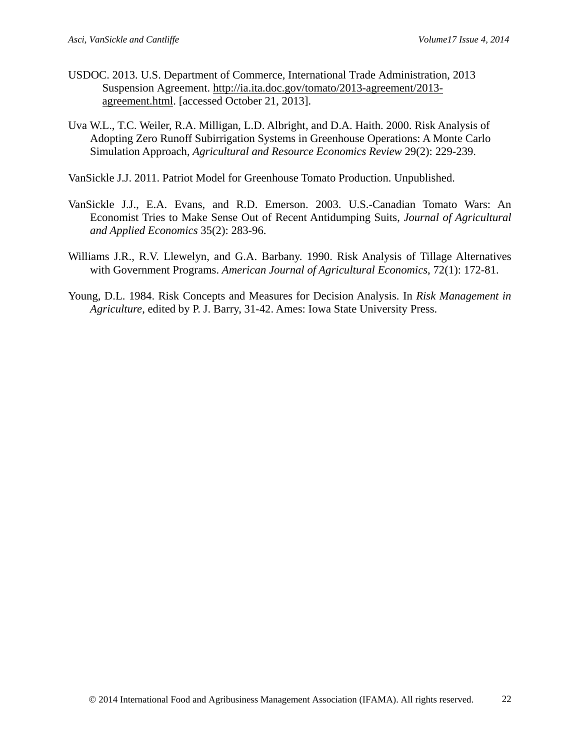- USDOC. 2013. U.S. Department of Commerce, International Trade Administration, 2013 Suspension Agreement. [http://ia.ita.doc.gov/tomato/2013-agreement/2013](http://ia.ita.doc.gov/tomato/2013-agreement/2013-agreement.html) [agreement.html.](http://ia.ita.doc.gov/tomato/2013-agreement/2013-agreement.html) [accessed October 21, 2013].
- Uva W.L., T.C. Weiler, R.A. Milligan, L.D. Albright, and D.A. Haith. 2000. Risk Analysis of Adopting Zero Runoff Subirrigation Systems in Greenhouse Operations: A Monte Carlo Simulation Approach, *Agricultural and Resource Economics Review* 29(2): 229-239.
- VanSickle J.J. 2011. Patriot Model for Greenhouse Tomato Production. Unpublished.
- VanSickle J.J., E.A. Evans, and R.D. Emerson. 2003. U.S.-Canadian Tomato Wars: An Economist Tries to Make Sense Out of Recent Antidumping Suits, *Journal of Agricultural and Applied Economics* 35(2): 283-96.
- Williams J.R., R.V. Llewelyn, and G.A. Barbany. 1990. Risk Analysis of Tillage Alternatives with Government Programs. *American Journal of Agricultural Economics*, 72(1): 172-81.
- Young, D.L. 1984. Risk Concepts and Measures for Decision Analysis. In *Risk Management in Agriculture*, edited by P. J. Barry, 31-42. Ames: Iowa State University Press.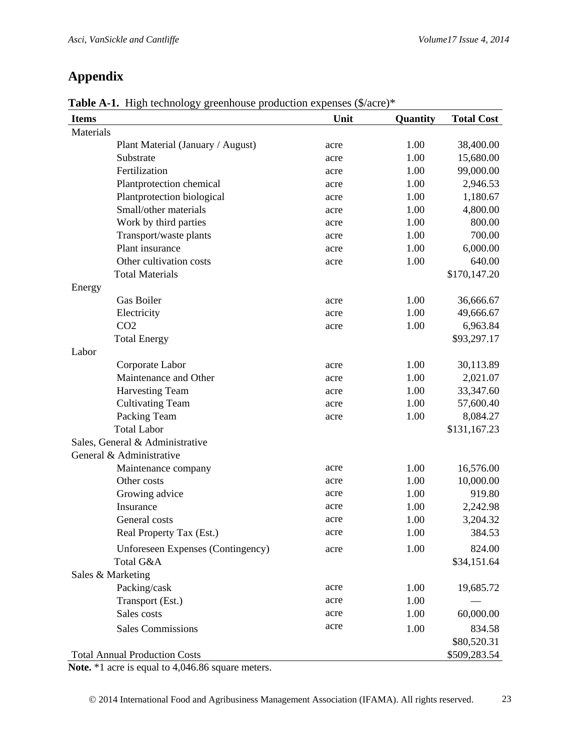# **Appendix**

| <b>Items</b>                      | Unit | Quantity | <b>Total Cost</b> |
|-----------------------------------|------|----------|-------------------|
| Materials                         |      |          |                   |
| Plant Material (January / August) | acre | 1.00     | 38,400.00         |
| Substrate                         | acre | 1.00     | 15,680.00         |
| Fertilization                     | acre | 1.00     | 99,000.00         |
| Plantprotection chemical          | acre | 1.00     | 2,946.53          |
| Plantprotection biological        | acre | 1.00     | 1,180.67          |
| Small/other materials             | acre | 1.00     | 4,800.00          |
| Work by third parties             | acre | 1.00     | 800.00            |
| Transport/waste plants            | acre | 1.00     | 700.00            |
| Plant insurance                   | acre | 1.00     | 6,000.00          |
| Other cultivation costs           | acre | 1.00     | 640.00            |
| <b>Total Materials</b>            |      |          | \$170,147.20      |
| Energy                            |      |          |                   |
| Gas Boiler                        | acre | 1.00     | 36,666.67         |
| Electricity                       | acre | 1.00     | 49,666.67         |
| CO <sub>2</sub>                   | acre | 1.00     | 6,963.84          |
| <b>Total Energy</b>               |      |          | \$93,297.17       |
| Labor                             |      |          |                   |
| Corporate Labor                   | acre | 1.00     | 30,113.89         |
| Maintenance and Other             | acre | 1.00     | 2,021.07          |
| <b>Harvesting Team</b>            | acre | 1.00     | 33,347.60         |
| <b>Cultivating Team</b>           | acre | 1.00     | 57,600.40         |
| Packing Team                      | acre | 1.00     | 8,084.27          |
| <b>Total Labor</b>                |      |          | \$131,167.23      |
| Sales, General & Administrative   |      |          |                   |
| General & Administrative          |      |          |                   |
| Maintenance company               | acre | 1.00     | 16,576.00         |
| Other costs                       | acre | 1.00     | 10,000.00         |
| Growing advice                    | acre | 1.00     | 919.80            |
| Insurance                         | acre | 1.00     | 2,242.98          |
| General costs                     | acre | 1.00     | 3,204.32          |
| Real Property Tax (Est.)          | acre | 1.00     | 384.53            |
| Unforeseen Expenses (Contingency) | acre | 1.00     | 824.00            |
| Total G&A                         |      |          | \$34,151.64       |
| Sales & Marketing                 |      |          |                   |
| Packing/cask                      | acre | 1.00     | 19,685.72         |
| Transport (Est.)                  | acre | 1.00     |                   |
| Sales costs                       | acre | 1.00     | 60,000.00         |
| <b>Sales Commissions</b>          | acre | 1.00     | 834.58            |
|                                   |      |          | \$80,520.31       |

**Table A-1.** High technology greenhouse production expenses (\$/acre)\*

Total Annual Production Costs  $$509,283.54$ 

**Note.** \*1 acre is equal to 4,046.86 square meters.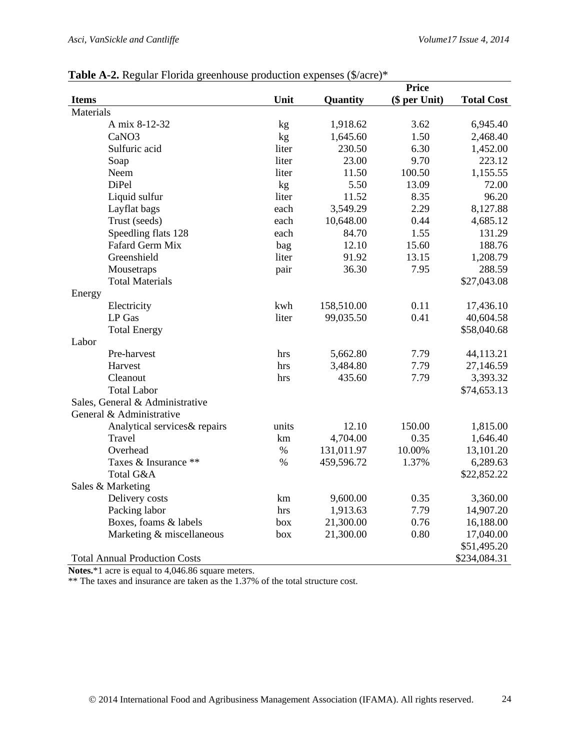| <b>THEIR THE HUGGING I</b> TOTION GLOCHHOUSE PLOCHELION CA |                 |            | <b>Price</b>  |                   |
|------------------------------------------------------------|-----------------|------------|---------------|-------------------|
| <b>Items</b>                                               | Unit            | Quantity   | (\$ per Unit) | <b>Total Cost</b> |
| Materials                                                  |                 |            |               |                   |
| A mix 8-12-32                                              | kg              | 1,918.62   | 3.62          | 6,945.40          |
| CaNO <sub>3</sub>                                          | kg              | 1,645.60   | 1.50          | 2,468.40          |
| Sulfuric acid                                              | liter           | 230.50     | 6.30          | 1,452.00          |
| Soap                                                       | liter           | 23.00      | 9.70          | 223.12            |
| Neem                                                       | liter           | 11.50      | 100.50        | 1,155.55          |
| DiPel                                                      | kg              | 5.50       | 13.09         | 72.00             |
| Liquid sulfur                                              | liter           | 11.52      | 8.35          | 96.20             |
| Layflat bags                                               | each            | 3,549.29   | 2.29          | 8,127.88          |
| Trust (seeds)                                              | each            | 10,648.00  | 0.44          | 4,685.12          |
| Speedling flats 128                                        | each            | 84.70      | 1.55          | 131.29            |
| Fafard Germ Mix                                            | bag             | 12.10      | 15.60         | 188.76            |
| Greenshield                                                | liter           | 91.92      | 13.15         | 1,208.79          |
| Mousetraps                                                 | pair            | 36.30      | 7.95          | 288.59            |
| <b>Total Materials</b>                                     |                 |            |               | \$27,043.08       |
| Energy                                                     |                 |            |               |                   |
| Electricity                                                | kwh             | 158,510.00 | 0.11          | 17,436.10         |
| LP Gas                                                     | liter           | 99,035.50  | 0.41          | 40,604.58         |
| <b>Total Energy</b>                                        |                 |            |               | \$58,040.68       |
| Labor                                                      |                 |            |               |                   |
| Pre-harvest                                                | hrs             | 5,662.80   | 7.79          | 44,113.21         |
| Harvest                                                    | hrs             | 3,484.80   | 7.79          | 27,146.59         |
| Cleanout                                                   | hrs             | 435.60     | 7.79          | 3,393.32          |
| <b>Total Labor</b>                                         |                 |            |               | \$74,653.13       |
| Sales, General & Administrative                            |                 |            |               |                   |
| General & Administrative                                   |                 |            |               |                   |
| Analytical services & repairs                              | units           | 12.10      | 150.00        | 1,815.00          |
| Travel                                                     | km              | 4,704.00   | 0.35          | 1,646.40          |
| Overhead                                                   | $\%$            | 131,011.97 | 10.00%        | 13,101.20         |
| Taxes & Insurance **                                       | $\%$            | 459,596.72 | 1.37%         | 6,289.63          |
| Total G&A                                                  |                 |            |               | \$22,852.22       |
| Sales & Marketing                                          |                 |            |               |                   |
| Delivery costs                                             | $\,\mathrm{km}$ | 9,600.00   | 0.35          | 3,360.00          |
| Packing labor                                              | hrs             | 1,913.63   | 7.79          | 14,907.20         |
| Boxes, foams & labels                                      | box             | 21,300.00  | 0.76          | 16,188.00         |
| Marketing & miscellaneous                                  | box             | 21,300.00  | 0.80          | 17,040.00         |
|                                                            |                 |            |               | \$51,495.20       |
| <b>Total Annual Production Costs</b>                       |                 |            |               | \$234,084.31      |

#### **Table A-2.** Regular Florida greenhouse production expenses (\$/acre)\*

**Notes.**\*1 acre is equal to 4,046.86 square meters.

\*\* The taxes and insurance are taken as the 1.37% of the total structure cost.